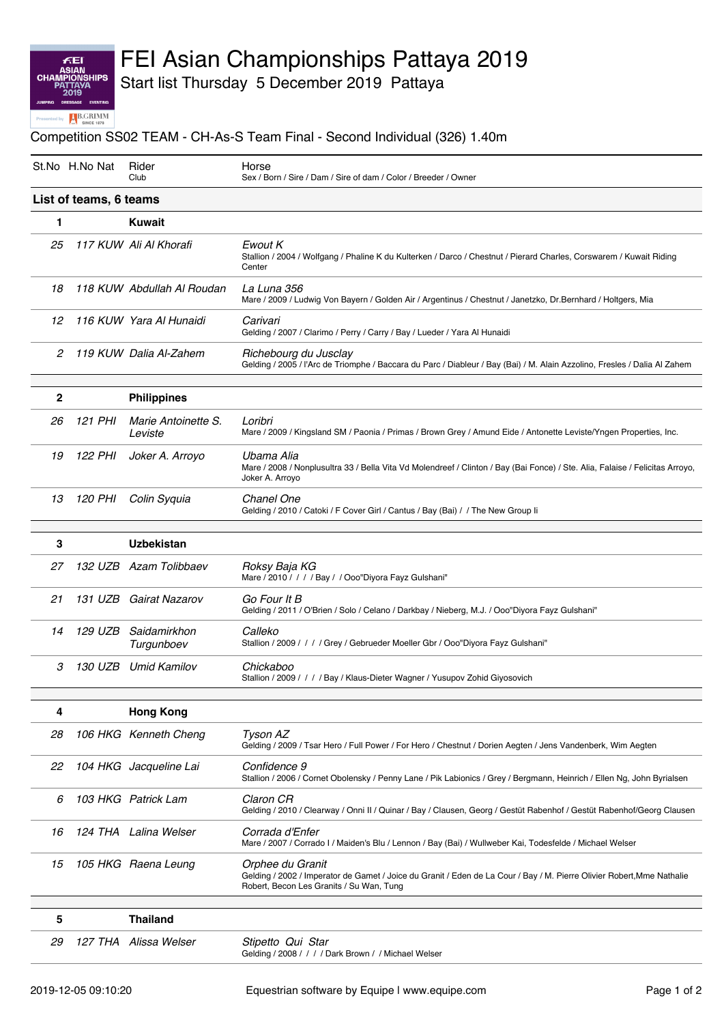### **FEI<br>ASIAN<br>CHAMPIONS SHIPS** d by **B.GRIMM**

# FEI Asian Championships Pattaya 2019

Start list Thursday 5 December 2019 Pattaya

#### Competition SS02 TEAM - CH-As-S Team Final - Second Individual (326) 1.40m

|                        | St.No H.No Nat | Rider<br>Club                  | Horse<br>Sex / Born / Sire / Dam / Sire of dam / Color / Breeder / Owner                                                                                                               |  |  |
|------------------------|----------------|--------------------------------|----------------------------------------------------------------------------------------------------------------------------------------------------------------------------------------|--|--|
| List of teams, 6 teams |                |                                |                                                                                                                                                                                        |  |  |
| 1                      |                | <b>Kuwait</b>                  |                                                                                                                                                                                        |  |  |
| 25                     |                | 117 KUW Ali Al Khorafi         | Ewout K<br>Stallion / 2004 / Wolfgang / Phaline K du Kulterken / Darco / Chestnut / Pierard Charles, Corswarem / Kuwait Riding<br>Center                                               |  |  |
| 18                     |                | 118 KUW Abdullah Al Roudan     | La Luna 356<br>Mare / 2009 / Ludwig Von Bayern / Golden Air / Argentinus / Chestnut / Janetzko, Dr.Bernhard / Holtgers, Mia                                                            |  |  |
| 12                     |                | 116 KUW Yara Al Hunaidi        | Carivari<br>Gelding / 2007 / Clarimo / Perry / Carry / Bay / Lueder / Yara Al Hunaidi                                                                                                  |  |  |
| 2                      |                | 119 KUW Dalia Al-Zahem         | Richebourg du Jusclay<br>Gelding / 2005 / l'Arc de Triomphe / Baccara du Parc / Diableur / Bay (Bai) / M. Alain Azzolino, Fresles / Dalia Al Zahem                                     |  |  |
| $\mathbf{2}$           |                | <b>Philippines</b>             |                                                                                                                                                                                        |  |  |
| 26                     | 121 PHI        | Marie Antoinette S.<br>Leviste | Loribri<br>Mare / 2009 / Kingsland SM / Paonia / Primas / Brown Grey / Amund Eide / Antonette Leviste/Yngen Properties, Inc.                                                           |  |  |
| 19                     | 122 PHI        | Joker A. Arroyo                | Ubama Alia<br>Mare / 2008 / Nonplusultra 33 / Bella Vita Vd Molendreef / Clinton / Bay (Bai Fonce) / Ste. Alia, Falaise / Felicitas Arroyo,<br>Joker A. Arroyo                         |  |  |
| 13                     | 120 PHI        | Colin Syquia                   | Chanel One<br>Gelding / 2010 / Catoki / F Cover Girl / Cantus / Bay (Bai) / / The New Group li                                                                                         |  |  |
| 3                      |                | <b>Uzbekistan</b>              |                                                                                                                                                                                        |  |  |
| 27                     |                | 132 UZB Azam Tolibbaev         | Roksy Baja KG<br>Mare / 2010 / / / / Bay / / Ooo"Diyora Fayz Gulshani"                                                                                                                 |  |  |
| 21                     |                | 131 UZB Gairat Nazarov         | Go Four It B<br>Gelding / 2011 / O'Brien / Solo / Celano / Darkbay / Nieberg, M.J. / Ooo"Diyora Fayz Gulshani"                                                                         |  |  |
| 14                     | 129 UZB        | Saidamirkhon<br>Turgunboev     | Calleko<br>Stallion / 2009 / / / / Grey / Gebrueder Moeller Gbr / Ooo"Diyora Fayz Gulshani"                                                                                            |  |  |
| 3                      | 130 UZB        | Umid Kamilov                   | Chickaboo<br>Stallion / 2009 / / / / Bay / Klaus-Dieter Wagner / Yusupov Zohid Giyosovich                                                                                              |  |  |
| 4                      |                | <b>Hong Kong</b>               |                                                                                                                                                                                        |  |  |
| 28                     |                | 106 HKG Kenneth Cheng          | Tyson AZ<br>Gelding / 2009 / Tsar Hero / Full Power / For Hero / Chestnut / Dorien Aegten / Jens Vandenberk, Wim Aegten                                                                |  |  |
| 22                     |                | 104 HKG Jacqueline Lai         | Confidence 9<br>Stallion / 2006 / Cornet Obolensky / Penny Lane / Pik Labionics / Grey / Bergmann, Heinrich / Ellen Ng, John Byrialsen                                                 |  |  |
| 6                      |                | 103 HKG Patrick Lam            | Claron CR<br>Gelding / 2010 / Clearway / Onni II / Quinar / Bay / Clausen, Georg / Gestüt Rabenhof / Gestüt Rabenhof/Georg Clausen                                                     |  |  |
| 16                     |                | 124 THA Lalina Welser          | Corrada d'Enfer<br>Mare / 2007 / Corrado I / Maiden's Blu / Lennon / Bay (Bai) / Wullweber Kai, Todesfelde / Michael Welser                                                            |  |  |
| 15                     |                | 105 HKG Raena Leung            | Orphee du Granit<br>Gelding / 2002 / Imperator de Gamet / Joice du Granit / Eden de La Cour / Bay / M. Pierre Olivier Robert, Mme Nathalie<br>Robert, Becon Les Granits / Su Wan, Tung |  |  |
| 5                      |                | <b>Thailand</b>                |                                                                                                                                                                                        |  |  |
| 29                     |                | 127 THA Alissa Welser          | Stipetto Qui Star<br>Gelding / 2008 / / / / Dark Brown / / Michael Welser                                                                                                              |  |  |